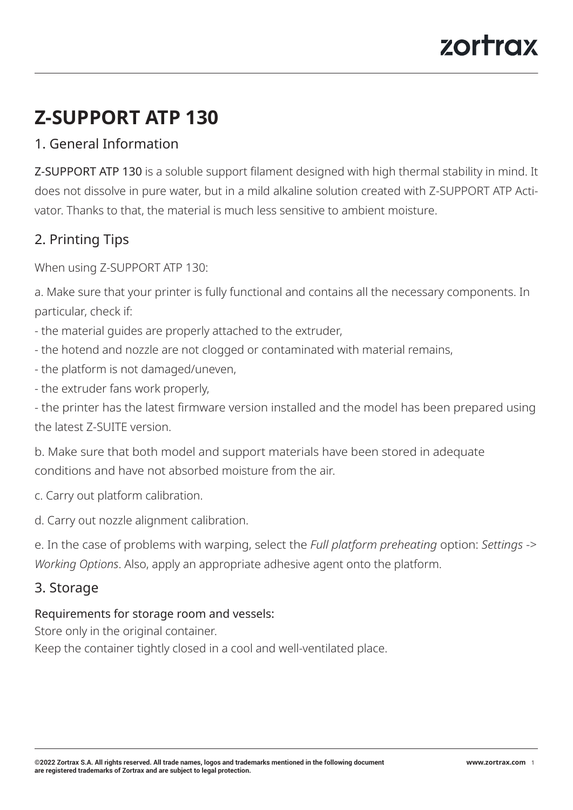# **Z-SUPPORT ATP 130**

### 1. General Information

Z-SUPPORT ATP 130 is a soluble support filament designed with high thermal stability in mind. It does not dissolve in pure water, but in a mild alkaline solution created with Z-SUPPORT ATP Activator. Thanks to that, the material is much less sensitive to ambient moisture.

## 2. Printing Tips

When using Z-SUPPORT ATP 130:

a. Make sure that your printer is fully functional and contains all the necessary components. In particular, check if:

- the material guides are properly attached to the extruder,
- the hotend and nozzle are not clogged or contaminated with material remains,
- the platform is not damaged/uneven,
- the extruder fans work properly,

- the printer has the latest firmware version installed and the model has been prepared using the latest Z-SUITE version.

b. Make sure that both model and support materials have been stored in adequate conditions and have not absorbed moisture from the air.

- c. Carry out platform calibration.
- d. Carry out nozzle alignment calibration.

e. In the case of problems with warping, select the *Full platform preheating* option: *Settings* -> *Working Options*. Also, apply an appropriate adhesive agent onto the platform.

#### 3. Storage

#### Requirements for storage room and vessels:

Store only in the original container.

Keep the container tightly closed in a cool and well-ventilated place.